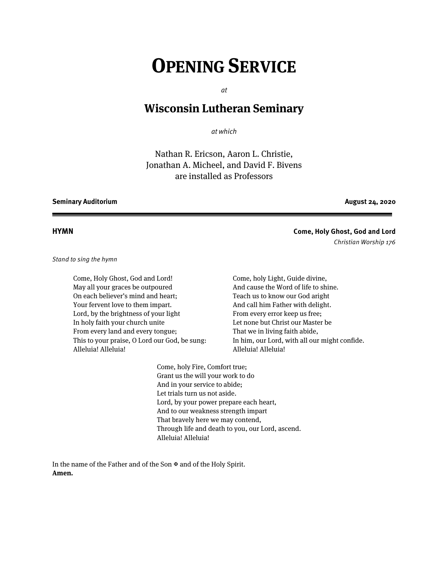# **OPENING SERVICE**

at

# **Wisconsin Lutheran Seminary**

at which

Nathan R. Ericson, Aaron L. Christie, Jonathan A. Micheel, and David F. Bivens are installed as Professors

#### **Seminary Auditorium August 24, 2020**

**HYMN Come, Holy Ghost, God and Lord** Christian Worship 176

Stand to sing the hymn

Come, Holy Ghost, God and Lord! May all your graces be outpoured On each believer's mind and heart; Your fervent love to them impart. Lord, by the brightness of your light In holy faith your church unite From every land and every tongue; This to your praise, O Lord our God, be sung: Alleluia! Alleluia!

Come, holy Light, Guide divine, And cause the Word of life to shine. Teach us to know our God aright And call him Father with delight. From every error keep us free; Let none but Christ our Master be That we in living faith abide, In him, our Lord, with all our might confide. Alleluia! Alleluia!

Come, holy Fire, Comfort true; Grant us the will your work to do And in your service to abide; Let trials turn us not aside. Lord, by your power prepare each heart, And to our weakness strength impart That bravely here we may contend, Through life and death to you, our Lord, ascend. Alleluia! Alleluia!

In the name of the Father and of the Son  $\mathfrak A$  and of the Holy Spirit. **Amen.**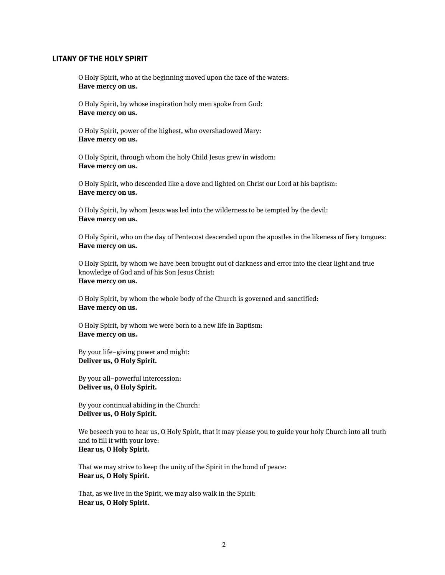#### **LITANY OF THE HOLY SPIRIT**

O Holy Spirit, who at the beginning moved upon the face of the waters: **Have mercy on us.**

O Holy Spirit, by whose inspiration holy men spoke from God: **Have mercy on us.**

O Holy Spirit, power of the highest, who overshadowed Mary: **Have mercy on us.**

O Holy Spirit, through whom the holy Child Jesus grew in wisdom: **Have mercy on us.**

O Holy Spirit, who descended like a dove and lighted on Christ our Lord at his baptism: **Have mercy on us.**

O Holy Spirit, by whom Jesus was led into the wilderness to be tempted by the devil: **Have mercy on us.**

O Holy Spirit, who on the day of Pentecost descended upon the apostles in the likeness of fiery tongues: **Have mercy on us.**

O Holy Spirit, by whom we have been brought out of darkness and error into the clear light and true knowledge of God and of his Son Jesus Christ: **Have mercy on us.**

O Holy Spirit, by whom the whole body of the Church is governed and sanctified: **Have mercy on us.**

O Holy Spirit, by whom we were born to a new life in Baptism: **Have mercy on us.**

By your life–giving power and might: **Deliver us, O Holy Spirit.**

By your all–powerful intercession: **Deliver us, O Holy Spirit.**

By your continual abiding in the Church: **Deliver us, O Holy Spirit.**

We beseech you to hear us, O Holy Spirit, that it may please you to guide your holy Church into all truth and to fill it with your love: **Hear us, O Holy Spirit.**

That we may strive to keep the unity of the Spirit in the bond of peace: **Hear us, O Holy Spirit.**

That, as we live in the Spirit, we may also walk in the Spirit: **Hear us, O Holy Spirit.**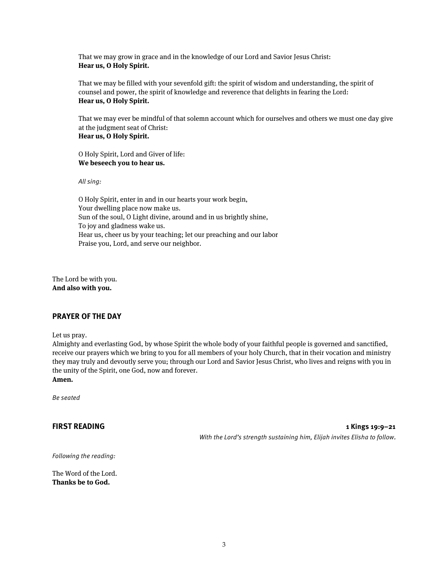That we may grow in grace and in the knowledge of our Lord and Savior Jesus Christ: **Hear us, O Holy Spirit.**

That we may be filled with your sevenfold gift: the spirit of wisdom and understanding, the spirit of counsel and power, the spirit of knowledge and reverence that delights in fearing the Lord: **Hear us, O Holy Spirit.**

That we may ever be mindful of that solemn account which for ourselves and others we must one day give at the judgment seat of Christ: **Hear us, O Holy Spirit.**

O Holy Spirit, Lord and Giver of life: **We beseech you to hear us.**

All sing:

O Holy Spirit, enter in and in our hearts your work begin, Your dwelling place now make us. Sun of the soul, O Light divine, around and in us brightly shine, To joy and gladness wake us. Hear us, cheer us by your teaching; let our preaching and our labor Praise you, Lord, and serve our neighbor.

The Lord be with you. **And also with you.**

#### **PRAYER OF THE DAY**

Let us pray.

Almighty and everlasting God, by whose Spirit the whole body of your faithful people is governed and sanctified, receive our prayers which we bring to you for all members of your holy Church, that in their vocation and ministry they may truly and devoutly serve you; through our Lord and Savior Jesus Christ, who lives and reigns with you in the unity of the Spirit, one God, now and forever.

**Amen.**

Be seated

**FIRST READING 1 Kings 19:9–21** With the Lord's strength sustaining him, Elijah invites Elisha to follow.

Following the reading:

The Word of the Lord. **Thanks be to God.**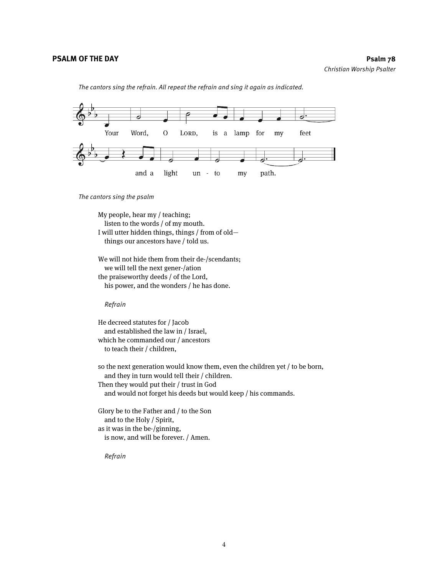The cantors sing the refrain. All repeat the refrain and sing it again as indicated.



The cantors sing the psalm

My people, hear my / teaching; listen to the words / of my mouth. I will utter hidden things, things / from of old things our ancestors have / told us.

We will not hide them from their de-/scendants; we will tell the next gener-/ation the praiseworthy deeds / of the Lord, his power, and the wonders / he has done.

Refrain

He decreed statutes for / Jacob and established the law in / Israel, which he commanded our / ancestors to teach their / children,

so the next generation would know them, even the children yet / to be born, and they in turn would tell their / children. Then they would put their / trust in God and would not forget his deeds but would keep / his commands.

Glory be to the Father and / to the Son and to the Holy / Spirit, as it was in the be-/ginning, is now, and will be forever. / Amen.

Refrain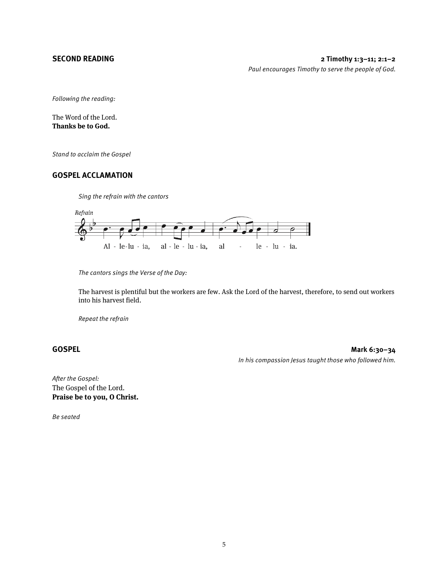Following the reading:

The Word of the Lord. **Thanks be to God.**

Stand to acclaim the Gospel

#### **GOSPEL ACCLAMATION**

Sing the refrain with the cantors



The cantors sings the Verse of the Day:

The harvest is plentiful but the workers are few. Ask the Lord of the harvest, therefore, to send out workers into his harvest field.

Repeat the refrain

**GOSPEL Mark 6:30–34** In his compassion Jesus taught those who followed him.

After the Gospel: The Gospel of the Lord. **Praise be to you, O Christ.**

Be seated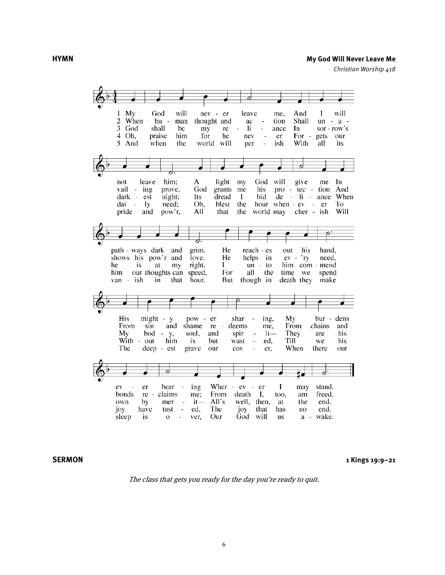#### **HYMN My God Will Never Leave Me**

Christian Worship 418



**SERMON 1 Kings 19:9–21**

The class that gets you ready for the day you're ready to quit.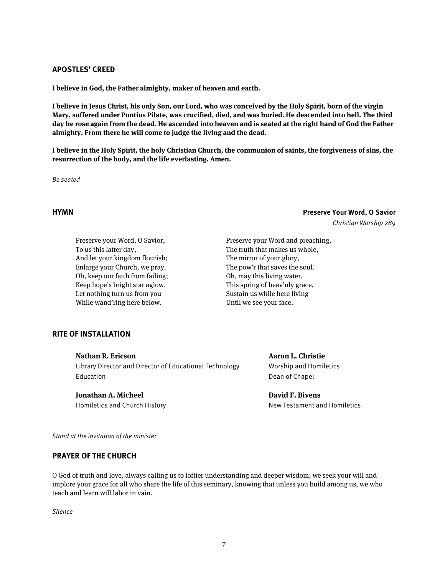#### **APOSTLES' CREED**

**I believe in God, the Father almighty, maker of heaven and earth.**

**I believe in Jesus Christ, his only Son, our Lord, who was conceived by the Holy Spirit, born of the virgin Mary, suffered under Pontius Pilate, was crucified, died, and was buried. He descended into hell. The third day he rose again from the dead. He ascended into heaven and is seated at the right hand of God the Father almighty. From there he will come to judge the living and the dead.**

**I believe in the Holy Spirit, the holy Christian Church, the communion of saints, the forgiveness of sins, the resurrection of the body, and the life everlasting. Amen.**

Be seated

### **HYMN Preserve Your Word, O Savior** Christian Worship 289

Preserve your Word, O Savior, To us this latter day, And let your kingdom flourish; Enlarge your Church, we pray. Oh, keep our faith from failing; Keep hope's bright star aglow. Let nothing turn us from you While wand'ring here below.

Preserve your Word and preaching, The truth that makes us whole, The mirror of your glory, The pow'r that saves the soul. Oh, may this living water, This spring of heav'nly grace, Sustain us while here living Until we see your face.

#### **RITE OF INSTALLATION**

**Nathan R. Ericson**

Library Director and Director of Educational Technology **Education** 

**Jonathan A. Micheel**

Homiletics and Church History

**Aaron L. Christie** Worship and Homiletics Dean of Chapel

**David F. Bivens** New Testament and Homiletics

Stand at the invitation of the minister

### **PRAYER OF THE CHURCH**

O God of truth and love, always calling us to loftier understanding and deeper wisdom, we seek your will and implore your grace for all who share the life of this seminary, knowing that unless you build among us, we who teach and learn will labor in vain.

Silence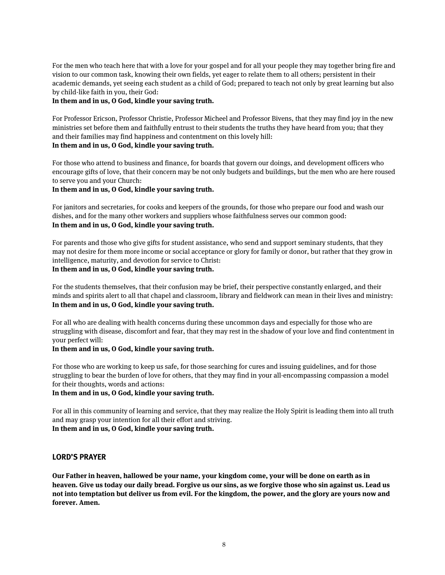For the men who teach here that with a love for your gospel and for all your people they may together bring fire and vision to our common task, knowing their own fields, yet eager to relate them to all others; persistent in their academic demands, yet seeing each student as a child of God; prepared to teach not only by great learning but also by child-like faith in you, their God:

#### **In them and in us, O God, kindle your saving truth.**

For Professor Ericson, Professor Christie, Professor Micheel and Professor Bivens, that they may find joy in the new ministries set before them and faithfully entrust to their students the truths they have heard from you; that they and their families may find happiness and contentment on this lovely hill: **In them and in us, O God, kindle your saving truth.**

For those who attend to business and finance, for boards that govern our doings, and development officers who encourage gifts of love, that their concern may be not only budgets and buildings, but the men who are here roused to serve you and your Church:

#### **In them and in us, O God, kindle your saving truth.**

For janitors and secretaries, for cooks and keepers of the grounds, for those who prepare our food and wash our dishes, and for the many other workers and suppliers whose faithfulness serves our common good: **In them and in us, O God, kindle your saving truth.**

For parents and those who give gifts for student assistance, who send and support seminary students, that they may not desire for them more income or social acceptance or glory for family or donor, but rather that they grow in intelligence, maturity, and devotion for service to Christ:

## **In them and in us, O God, kindle your saving truth.**

For the students themselves, that their confusion may be brief, their perspective constantly enlarged, and their minds and spirits alert to all that chapel and classroom, library and fieldwork can mean in their lives and ministry: **In them and in us, O God, kindle your saving truth.**

For all who are dealing with health concerns during these uncommon days and especially for those who are struggling with disease, discomfort and fear, that they may rest in the shadow of your love and find contentment in your perfect will:

#### **In them and in us, O God, kindle your saving truth.**

For those who are working to keep us safe, for those searching for cures and issuing guidelines, and for those struggling to bear the burden of love for others, that they may find in your all-encompassing compassion a model for their thoughts, words and actions:

#### **In them and in us, O God, kindle your saving truth.**

For all in this community of learning and service, that they may realize the Holy Spirit is leading them into all truth and may grasp your intention for all their effort and striving. **In them and in us, O God, kindle your saving truth.**

#### **LORD'S PRAYER**

**Our Father in heaven, hallowed be your name, your kingdom come, your will be done on earth as in heaven. Give us today our daily bread. Forgive us our sins, as we forgive those who sin against us. Lead us not into temptation but deliver us from evil. For the kingdom, the power, and the glory are yours now and forever. Amen.**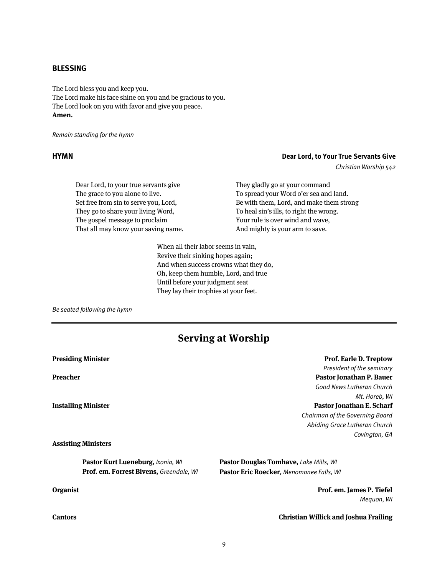#### **BLESSING**

The Lord bless you and keep you. The Lord make his face shine on you and be gracious to you. The Lord look on you with favor and give you peace. **Amen.**

Remain standing for the hymn

### **HYMN Dear Lord, to Your True Servants Give**

Christian Worship 542

Dear Lord, to your true servants give The grace to you alone to live. Set free from sin to serve you, Lord, They go to share your living Word, The gospel message to proclaim That all may know your saving name. They gladly go at your command To spread your Word o'er sea and land. Be with them, Lord, and make them strong To heal sin's ills, to right the wrong. Your rule is over wind and wave, And mighty is your arm to save.

When all their labor seems in vain, Revive their sinking hopes again; And when success crowns what they do, Oh, keep them humble, Lord, and true Until before your judgment seat They lay their trophies at your feet.

Be seated following the hymn

# **Serving at Worship**

| <b>Presiding Minister</b>                        | <b>Prof. Earle D. Treptow</b>                 |
|--------------------------------------------------|-----------------------------------------------|
|                                                  | President of the seminary                     |
| Preacher                                         | Pastor Jonathan P. Bauer                      |
|                                                  | Good News Lutheran Church                     |
|                                                  | Mt. Horeb, WI                                 |
| <b>Installing Minister</b>                       | Pastor Jonathan E. Scharf                     |
|                                                  | Chairman of the Governing Board               |
|                                                  | Abiding Grace Lutheran Church                 |
|                                                  | Covington, GA                                 |
| <b>Assisting Ministers</b>                       |                                               |
| Pastor Kurt Lueneburg, <i>Ixonia</i> , <i>WI</i> | <b>Pastor Douglas Tomhave, Lake Mills, WI</b> |
| <b>Prof. em. Forrest Bivens, Greendale, WI</b>   | Pastor Eric Roecker, Menomonee Falls, WI      |
| <b>Organist</b>                                  | Prof. em. James P. Tiefel                     |
|                                                  | Meguon, WI                                    |
| Cantors                                          | <b>Christian Willick and Joshua Frailing</b>  |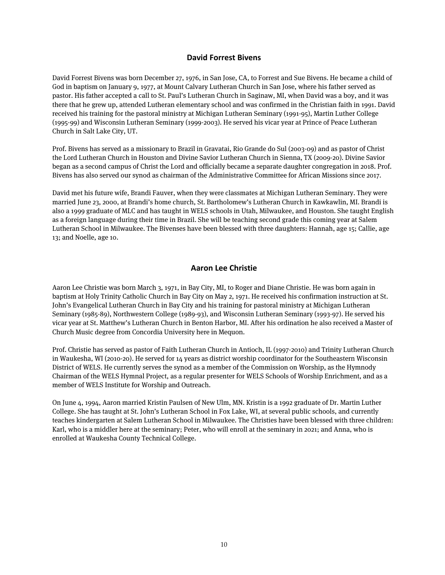### **David Forrest Bivens**

David Forrest Bivens was born December 27, 1976, in San Jose, CA, to Forrest and Sue Bivens. He became a child of God in baptism on January 9, 1977, at Mount Calvary Lutheran Church in San Jose, where his father served as pastor. His father accepted a call to St. Paul's Lutheran Church in Saginaw, MI, when David was a boy, and it was there that he grew up, attended Lutheran elementary school and was confirmed in the Christian faith in 1991. David received his training for the pastoral ministry at Michigan Lutheran Seminary (1991-95), Martin Luther College (1995-99) and Wisconsin Lutheran Seminary (1999-2003). He served his vicar year at Prince of Peace Lutheran Church in Salt Lake City, UT.

Prof. Bivens has served as a missionary to Brazil in Gravatai, Rio Grande do Sul (2003-09) and as pastor of Christ the Lord Lutheran Church in Houston and Divine Savior Lutheran Church in Sienna, TX (2009-20). Divine Savior began as a second campus of Christ the Lord and officially became a separate daughter congregation in 2018. Prof. Bivens has also served our synod as chairman of the Administrative Committee for African Missions since 2017.

David met his future wife, Brandi Fauver, when they were classmates at Michigan Lutheran Seminary. They were married June 23, 2000, at Brandi's home church, St. Bartholomew's Lutheran Church in Kawkawlin, MI. Brandi is also a 1999 graduate of MLC and has taught in WELS schools in Utah, Milwaukee, and Houston. She taught English as a foreign language during their time in Brazil. She will be teaching second grade this coming year at Salem Lutheran School in Milwaukee. The Bivenses have been blessed with three daughters: Hannah, age 15; Callie, age 13; and Noelle, age 10.

### **Aaron Lee Christie**

Aaron Lee Christie was born March 3, 1971, in Bay City, MI, to Roger and Diane Christie. He was born again in baptism at Holy Trinity Catholic Church in Bay City on May 2, 1971. He received his confirmation instruction at St. John's Evangelical Lutheran Church in Bay City and his training for pastoral ministry at Michigan Lutheran Seminary (1985-89), Northwestern College (1989-93), and Wisconsin Lutheran Seminary (1993-97). He served his vicar year at St. Matthew's Lutheran Church in Benton Harbor, MI. After his ordination he also received a Master of Church Music degree from Concordia University here in Mequon.

Prof. Christie has served as pastor of Faith Lutheran Church in Antioch, IL (1997-2010) and Trinity Lutheran Church in Waukesha, WI (2010-20). He served for 14 years as district worship coordinator for the Southeastern Wisconsin District of WELS. He currently serves the synod as a member of the Commission on Worship, as the Hymnody Chairman of the WELS Hymnal Project, as a regular presenter for WELS Schools of Worship Enrichment, and as a member of WELS Institute for Worship and Outreach.

On June 4, 1994, Aaron married Kristin Paulsen of New Ulm, MN. Kristin is a 1992 graduate of Dr. Martin Luther College. She has taught at St. John's Lutheran School in Fox Lake, WI, at several public schools, and currently teaches kindergarten at Salem Lutheran School in Milwaukee. The Christies have been blessed with three children: Karl, who is a middler here at the seminary; Peter, who will enroll at the seminary in 2021; and Anna, who is enrolled at Waukesha County Technical College.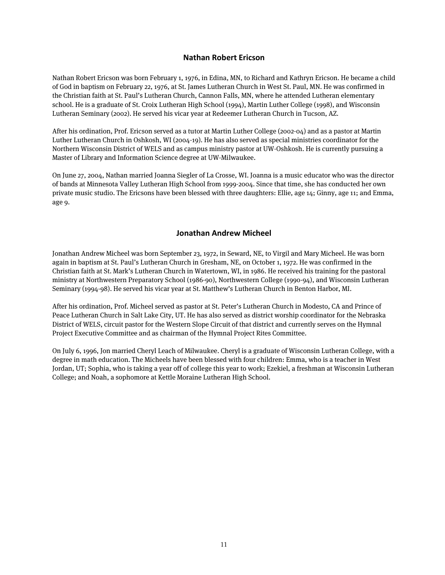### **Nathan Robert Ericson**

Nathan Robert Ericson was born February 1, 1976, in Edina, MN, to Richard and Kathryn Ericson. He became a child of God in baptism on February 22, 1976, at St. James Lutheran Church in West St. Paul, MN. He was confirmed in the Christian faith at St. Paul's Lutheran Church, Cannon Falls, MN, where he attended Lutheran elementary school. He is a graduate of St. Croix Lutheran High School (1994), Martin Luther College (1998), and Wisconsin Lutheran Seminary (2002). He served his vicar year at Redeemer Lutheran Church in Tucson, AZ.

After his ordination, Prof. Ericson served as a tutor at Martin Luther College (2002-04) and as a pastor at Martin Luther Lutheran Church in Oshkosh, WI (2004-19). He has also served as special ministries coordinator for the Northern Wisconsin District of WELS and as campus ministry pastor at UW-Oshkosh. He is currently pursuing a Master of Library and Information Science degree at UW-Milwaukee.

On June 27, 2004, Nathan married Joanna Siegler of La Crosse, WI. Joanna is a music educator who was the director of bands at Minnesota Valley Lutheran High School from 1999-2004. Since that time, she has conducted her own private music studio. The Ericsons have been blessed with three daughters: Ellie, age 14; Ginny, age 11; and Emma, age 9.

### **Jonathan Andrew Micheel**

Jonathan Andrew Micheel was born September 23, 1972, in Seward, NE, to Virgil and Mary Micheel. He was born again in baptism at St. Paul's Lutheran Church in Gresham, NE, on October 1, 1972. He was confirmed in the Christian faith at St. Mark's Lutheran Church in Watertown, WI, in 1986. He received his training for the pastoral ministry at Northwestern Preparatory School (1986-90), Northwestern College (1990-94), and Wisconsin Lutheran Seminary (1994-98). He served his vicar year at St. Matthew's Lutheran Church in Benton Harbor, MI.

After his ordination, Prof. Micheel served as pastor at St. Peter's Lutheran Church in Modesto, CA and Prince of Peace Lutheran Church in Salt Lake City, UT. He has also served as district worship coordinator for the Nebraska District of WELS, circuit pastor for the Western Slope Circuit of that district and currently serves on the Hymnal Project Executive Committee and as chairman of the Hymnal Project Rites Committee.

On July 6, 1996, Jon married Cheryl Leach of Milwaukee. Cheryl is a graduate of Wisconsin Lutheran College, with a degree in math education. The Micheels have been blessed with four children: Emma, who is a teacher in West Jordan, UT; Sophia, who is taking a year off of college this year to work; Ezekiel, a freshman at Wisconsin Lutheran College; and Noah, a sophomore at Kettle Moraine Lutheran High School.